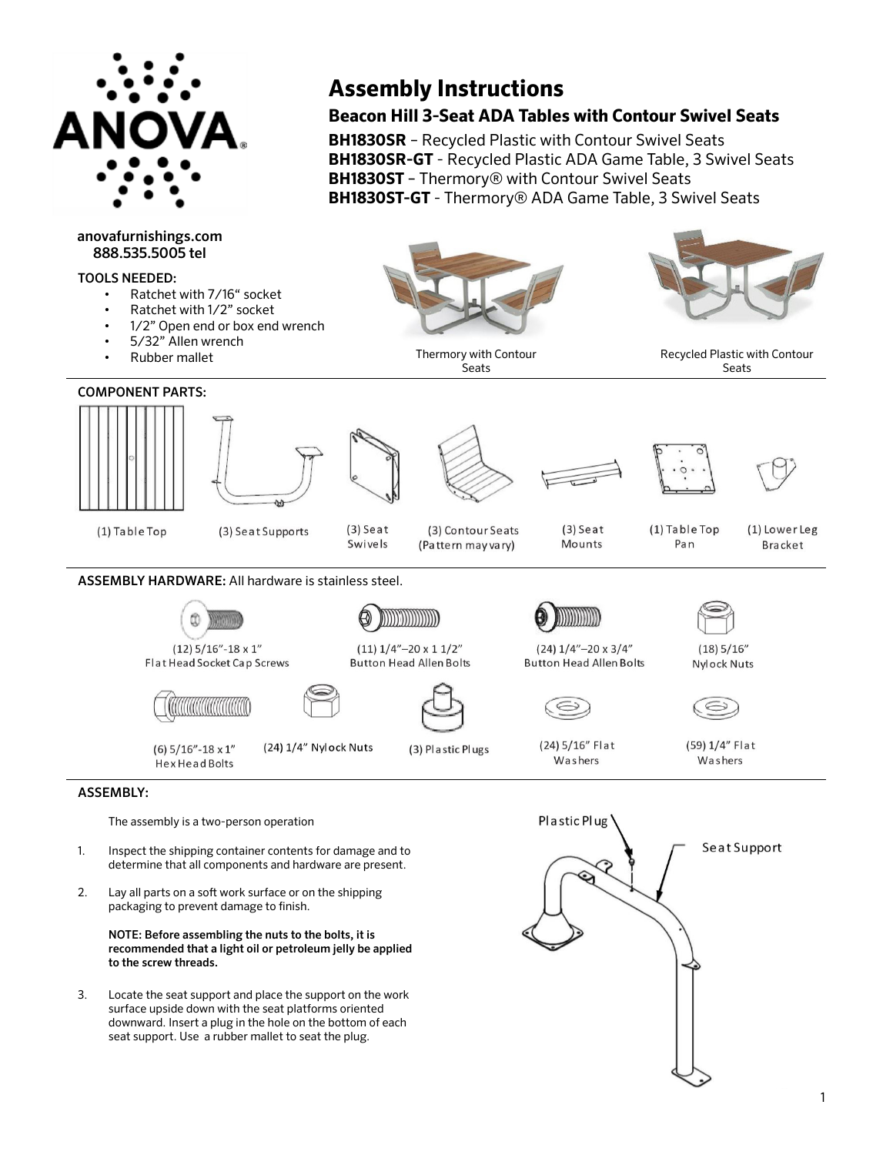

# anovafurnishings.com 888.535.5005 tel

## TOOLS NEEDED:

- Ratchet with 7/16" socket
- Ratchet with 1/2" socket
- 1/2" Open end or box end wrench
- 5/32" Allen wrench
- Rubber mallet

# COMPONENT PARTS:



(1) Table Top



(3) Seat Supports

 $(3)$  Seat



Thermory with Contour Seats

**Assembly Instructions**

**Beacon Hill 3-Seat ADA Tables with Contour Swivel Seats** 

**BH1830SR-GT** - Recycled Plastic ADA Game Table, 3 Swivel Seats

**BH1830ST-GT** - Thermory® ADA Game Table, 3 Swivel Seats

**BH1830SR** – Recycled Plastic with Contour Swivel Seats

**BH1830ST** – Thermory® with Contour Swivel Seats

 $(3)$  Seat Mounts



Pan

Recycled Plastic with Contour Seats

(1) Lower Leg



ומממממממ

(Pattern may vary)





 $(18)$  5/16"

**Nylock Nuts** 



 $(12)$  5/16"-18 x 1" Flat Head Socket Cap Screws

ASSEMBLY HARDWARE: All hardware is stainless steel.



(24) 1/4" Nylock Nuts



(3) Plastic Plugs

(24) 5/16" Flat Washers

 $(24)$   $1/4"$  - 20 x 3/4"

**Button Head Allen Bolts** 

(59) 1/4" Flat Washers

### ASSEMBLY:

The assembly is a two-person operation

TUUTUUTUUTUUTU

 $(6)$  5/16"-18 x 1"

**Hex Head Bolts** 

- Inspect the shipping container contents for damage and to determine that all components and hardware are present. 1.
- 2. Lay all parts on a soft work surface or on the shipping packaging to prevent damage to finish.

NOTE: Before assembling the nuts to the bolts, it is recommended that a light oil or petroleum jelly be applied to the screw threads.

3. Locate the seat support and place the support on the work surface upside down with the seat platforms oriented downward. Insert a plug in the hole on the bottom of each seat support. Use a rubber mallet to seat the plug.

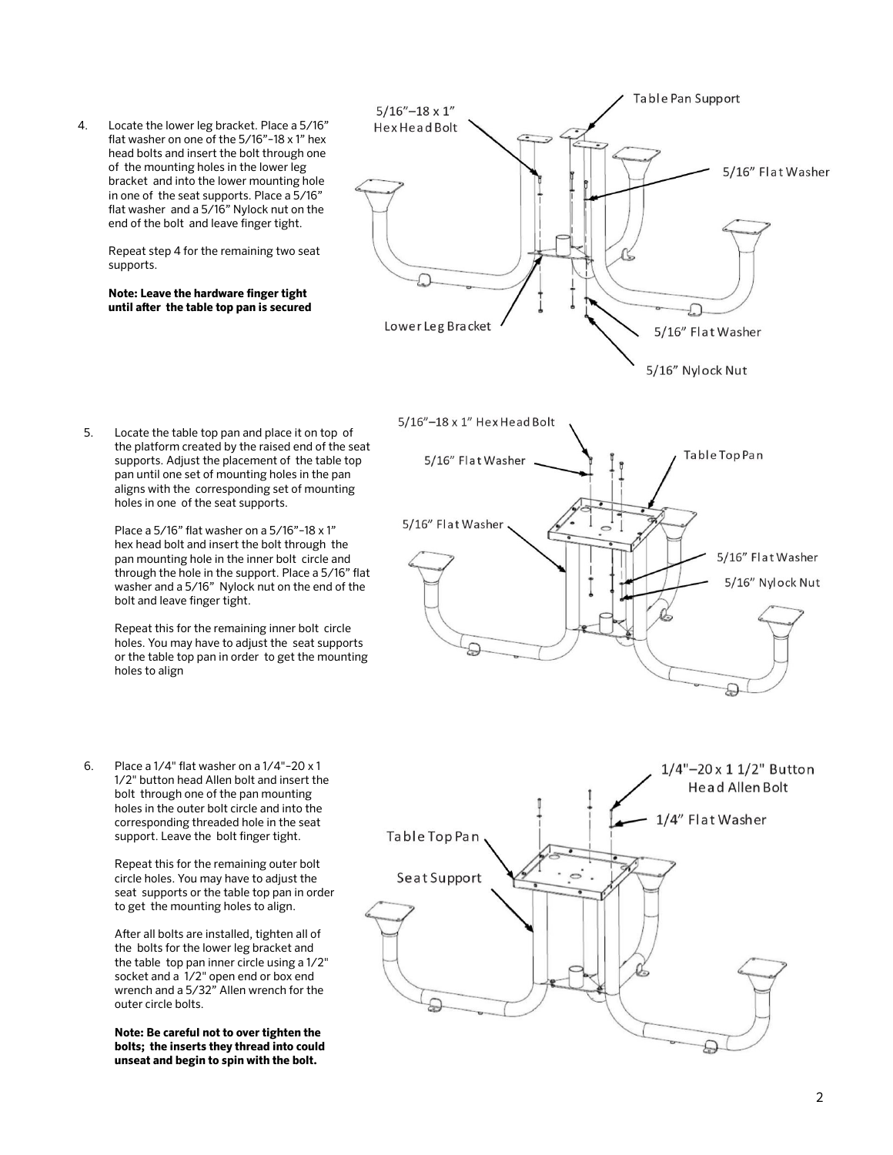4. Locate the lower leg bracket. Place a 5/16" flat washer on one of the 5/16"–18 x 1" hex head bolts and insert the bolt through one of the mounting holes in the lower leg bracket and into the lower mounting hole in one of the seat supports. Place a 5/16" flat washer and a 5/16" Nylock nut on the end of the bolt and leave finger tight.

> Repeat step 4 for the remaining two seat supports.

**Note: Leave the hardware finger tight until after the table top pan is secured**



5. Locate the table top pan and place it on top of the platform created by the raised end of the seat supports. Adjust the placement of the table top pan until one set of mounting holes in the pan aligns with the corresponding set of mounting holes in one of the seat supports.

> Place a 5/16" flat washer on a 5/16"–18 x 1" hex head bolt and insert the bolt through the pan mounting hole in the inner bolt circle and through the hole in the support. Place a 5/16" flat washer and a 5/16" Nylock nut on the end of the bolt and leave finger tight.

> Repeat this for the remaining inner bolt circle holes. You may have to adjust the seat supports or the table top pan in order to get the mounting holes to align

6. Place a 1/4" flat washer on a 1/4"–20 x 1 1/2" button head Allen bolt and insert the bolt through one of the pan mounting holes in the outer bolt circle and into the corresponding threaded hole in the seat support. Leave the bolt finger tight.

> Repeat this for the remaining outer bolt circle holes. You may have to adjust the seat supports or the table top pan in order to get the mounting holes to align.

After all bolts are installed, tighten all of the bolts for the lower leg bracket and the table top pan inner circle using a 1/2" socket and a 1/2" open end or box end wrench and a 5/32" Allen wrench for the outer circle bolts.

**Note: Be careful not to over tighten the bolts; the inserts they thread into could unseat and begin to spin with the bolt.**



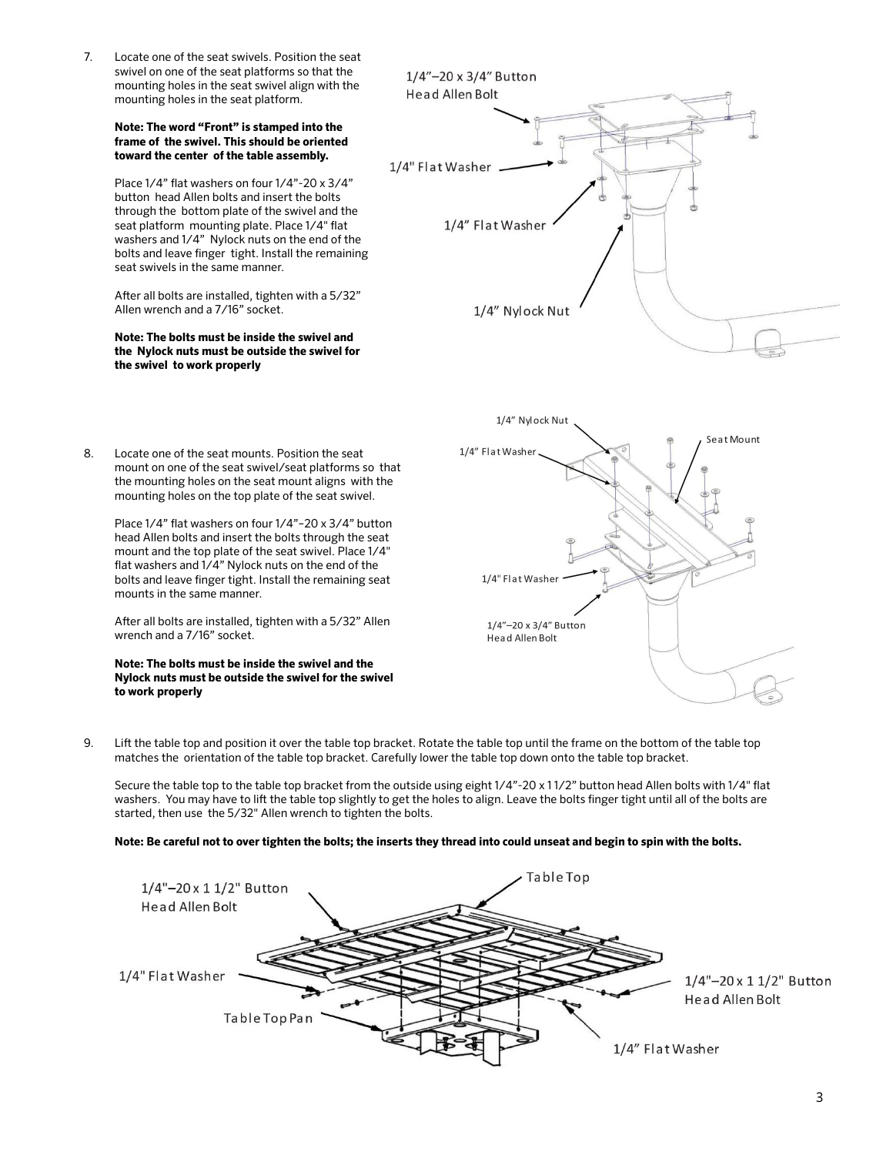7. Locate one of the seat swivels. Position the seat swivel on one of the seat platforms so that the mounting holes in the seat swivel align with the mounting holes in the seat platform.

#### **Note: The word "Front" is stamped into the frame of the swivel. This should be oriented toward the center of the table assembly.**

Place 1/4" flat washers on four 1/4"-20 x 3/4" button head Allen bolts and insert the bolts through the bottom plate of the swivel and the seat platform mounting plate. Place 1/4" flat washers and 1/4" Nylock nuts on the end of the bolts and leave finger tight. Install the remaining seat swivels in the same manner.

After all bolts are installed, tighten with a 5/32" Allen wrench and a 7/16" socket.

### **Note: The bolts must be inside the swivel and the Nylock nuts must be outside the swivel for the swivel to work properly**

8. Locate one of the seat mounts. Position the seat

mounts in the same manner.

wrench and a 7/16" socket.

**to work properly**

mount on one of the seat swivel/seat platforms so that the mounting holes on the seat mount aligns with the mounting holes on the top plate of the seat swivel. Place 1/4" flat washers on four 1/4"–20 x 3/4" button head Allen bolts and insert the bolts through the seat mount and the top plate of the seat swivel. Place 1/4" flat washers and 1/4" Nylock nuts on the end of the bolts and leave finger tight. Install the remaining seat

After all bolts are installed, tighten with a 5/32" Allen

**Note: The bolts must be inside the swivel and the Nylock nuts must be outside the swivel for the swivel** 





9. Lift the table top and position it over the table top bracket. Rotate the table top until the frame on the bottom of the table top matches the orientation of the table top bracket. Carefully lower the table top down onto the table top bracket.

Secure the table top to the table top bracket from the outside using eight 1/4"-20 x 1 1/2" button head Allen bolts with 1/4" flat washers. You may have to lift the table top slightly to get the holes to align. Leave the bolts finger tight until all of the bolts are started, then use the 5/32" Allen wrench to tighten the bolts.

### **Note: Be careful not to over tighten the bolts; the inserts they thread into could unseat and begin to spin with the bolts.**